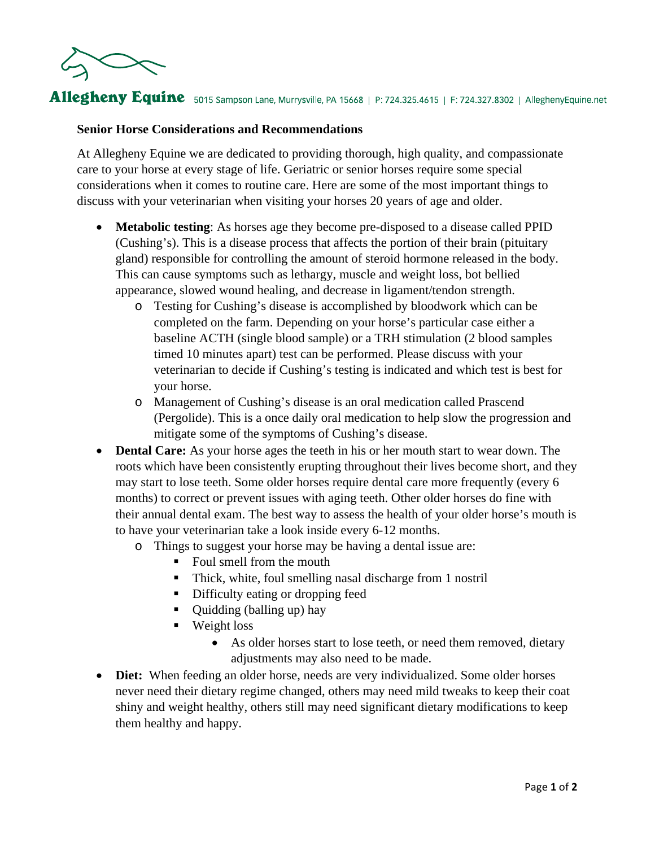

## Allegheny Equine 5015 Sampson Lane, Murrysville, PA 15668 | P: 724.325.4615 | F: 724.327.8302 | AlleghenyEquine.net

## **Senior Horse Considerations and Recommendations**

At Allegheny Equine we are dedicated to providing thorough, high quality, and compassionate care to your horse at every stage of life. Geriatric or senior horses require some special considerations when it comes to routine care. Here are some of the most important things to discuss with your veterinarian when visiting your horses 20 years of age and older.

- **Metabolic testing**: As horses age they become pre-disposed to a disease called PPID (Cushing's). This is a disease process that affects the portion of their brain (pituitary gland) responsible for controlling the amount of steroid hormone released in the body. This can cause symptoms such as lethargy, muscle and weight loss, bot bellied appearance, slowed wound healing, and decrease in ligament/tendon strength.
	- o Testing for Cushing's disease is accomplished by bloodwork which can be completed on the farm. Depending on your horse's particular case either a baseline ACTH (single blood sample) or a TRH stimulation (2 blood samples timed 10 minutes apart) test can be performed. Please discuss with your veterinarian to decide if Cushing's testing is indicated and which test is best for your horse.
	- o Management of Cushing's disease is an oral medication called Prascend (Pergolide). This is a once daily oral medication to help slow the progression and mitigate some of the symptoms of Cushing's disease.
- **Dental Care:** As your horse ages the teeth in his or her mouth start to wear down. The roots which have been consistently erupting throughout their lives become short, and they may start to lose teeth. Some older horses require dental care more frequently (every 6 months) to correct or prevent issues with aging teeth. Other older horses do fine with their annual dental exam. The best way to assess the health of your older horse's mouth is to have your veterinarian take a look inside every 6-12 months.
	- o Things to suggest your horse may be having a dental issue are:
		- Foul smell from the mouth
		- Thick, white, foul smelling nasal discharge from 1 nostril
		- Difficulty eating or dropping feed
		- Quidding (balling up) hay
		- **Weight loss** 
			- As older horses start to lose teeth, or need them removed, dietary adjustments may also need to be made.
- **Diet:** When feeding an older horse, needs are very individualized. Some older horses never need their dietary regime changed, others may need mild tweaks to keep their coat shiny and weight healthy, others still may need significant dietary modifications to keep them healthy and happy.